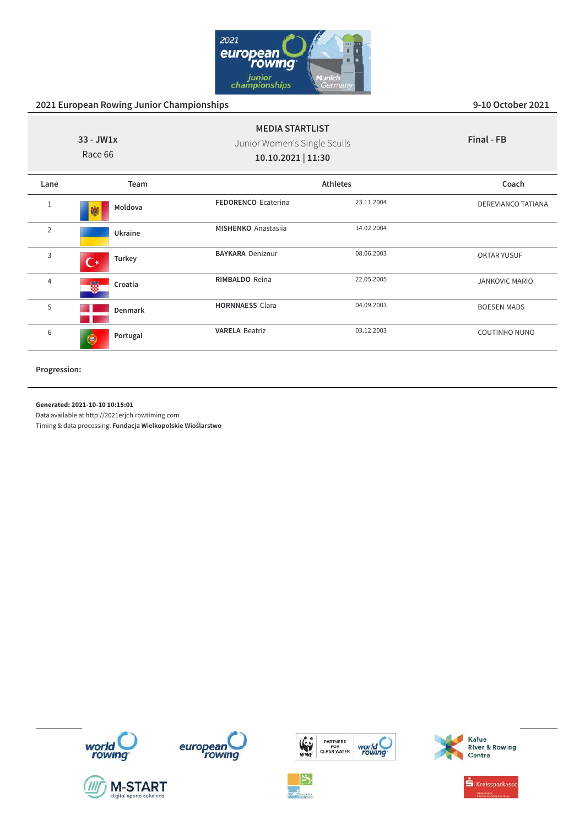

| $33 - JW1x$<br>Race 66 |                          | <b>MEDIA STARTLIST</b><br>Junior Women's Single Sculls<br>10.10.2021   11:30 |            | Final - FB            |
|------------------------|--------------------------|------------------------------------------------------------------------------|------------|-----------------------|
| Lane                   | Team                     | <b>Athletes</b>                                                              |            | Coach                 |
| $\mathbf{1}$           | Moldova<br>鱜             | <b>FEDORENCO Ecaterina</b>                                                   | 23.11.2004 | DEREVIANCO TATIANA    |
| $\overline{2}$         | Ukraine                  | <b>MISHENKO</b> Anastasija                                                   | 14.02.2004 |                       |
| 3                      | Turkey<br>$\mathfrak{c}$ | <b>BAYKARA Deniznur</b>                                                      | 08.06.2003 | <b>OKTAR YUSUF</b>    |
| 4                      | 蠮<br>Croatia             | <b>RIMBALDO</b> Reina                                                        | 22.05.2005 | <b>JANKOVIC MARIO</b> |
| 5                      | Denmark                  | <b>HORNNAESS Clara</b>                                                       | 04.09.2003 | <b>BOESEN MADS</b>    |
| 6                      | Portugal<br>$\bullet$    | <b>VARELA Beatriz</b>                                                        | 03.12.2003 | <b>COUTINHO NUNO</b>  |

**Progression:**

#### **Generated: 2021-10-10 10:15:01**

Data available at http://2021erjch.rowtiming.com













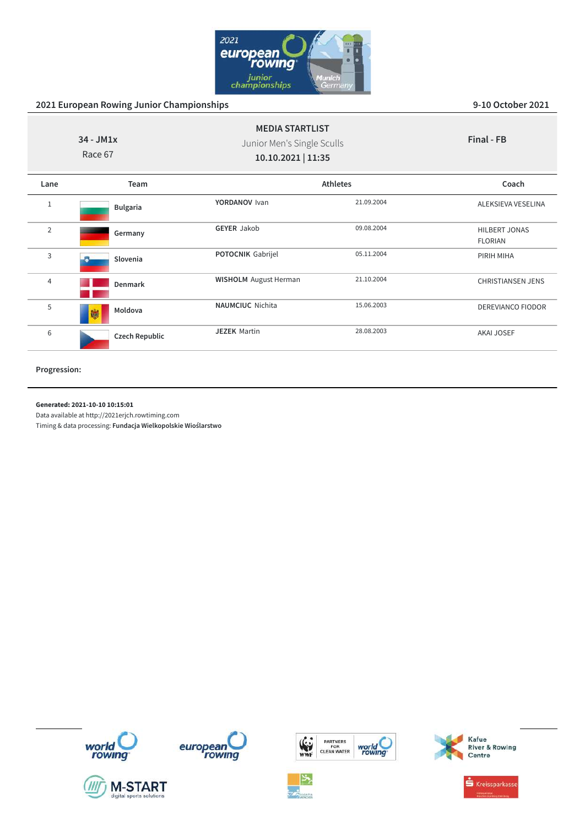

| $34 - JM1x$<br>Race 67 |                       | <b>MEDIA STARTLIST</b><br>Junior Men's Single Sculls<br>10.10.2021   11:35 |                 | Final - FB                             |
|------------------------|-----------------------|----------------------------------------------------------------------------|-----------------|----------------------------------------|
| Lane                   | Team                  |                                                                            | <b>Athletes</b> | Coach                                  |
| 1                      | <b>Bulgaria</b>       | YORDANOV Ivan                                                              | 21.09.2004      | ALEKSIEVA VESELINA                     |
| 2                      | Germany               | <b>GEYER Jakob</b>                                                         | 09.08.2004      | <b>HILBERT JONAS</b><br><b>FLORIAN</b> |
| 3                      | Slovenia              | POTOCNIK Gabrijel                                                          | 05.11.2004      | PIRIH MIHA                             |
| $\overline{4}$         | <b>Denmark</b>        | <b>WISHOLM</b> August Herman                                               | 21.10.2004      | <b>CHRISTIANSEN JENS</b>               |
| 5                      | Moldova<br>蹦          | <b>NAUMCIUC</b> Nichita                                                    | 15.06.2003      | DEREVIANCO FIODOR                      |
| 6                      | <b>Czech Republic</b> | <b>JEZEK Martin</b>                                                        | 28.08.2003      | <b>AKAI JOSEF</b>                      |

**Progression:**

#### **Generated: 2021-10-10 10:15:01**

Data available at http://2021erjch.rowtiming.com















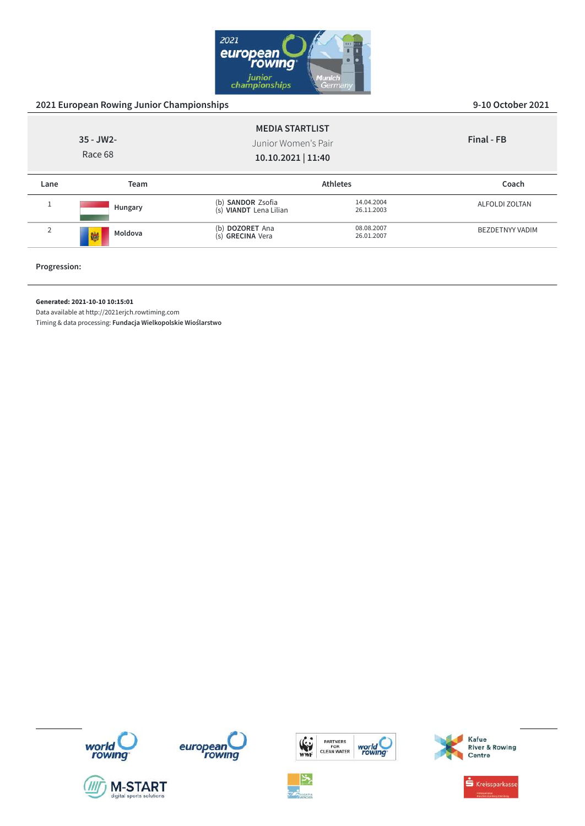

|                                                                                                | 2021 European Rowing Junior Championships | 9-10 October 2021                           |                          |                        |
|------------------------------------------------------------------------------------------------|-------------------------------------------|---------------------------------------------|--------------------------|------------------------|
| <b>MEDIA STARTLIST</b><br>$35 - JW2 -$<br>Junior Women's Pair<br>Race 68<br>10.10.2021   11:40 |                                           |                                             | Final - FB               |                        |
| Lane                                                                                           | <b>Team</b>                               |                                             | <b>Athletes</b>          | Coach                  |
|                                                                                                | Hungary                                   | (b) SANDOR Zsofia<br>(s) VIANDT Lena Lilian | 14.04.2004<br>26.11.2003 | <b>ALFOLDI ZOLTAN</b>  |
| $\overline{2}$                                                                                 | Moldova<br>鱜                              | (b) DOZORET Ana<br>(s) GRECINA Vera         | 08.08.2007<br>26.01.2007 | <b>BEZDETNYY VADIM</b> |
|                                                                                                |                                           |                                             |                          |                        |

**Progression:**

### **Generated: 2021-10-10 10:15:01**

Data available at http://2021erjch.rowtiming.com













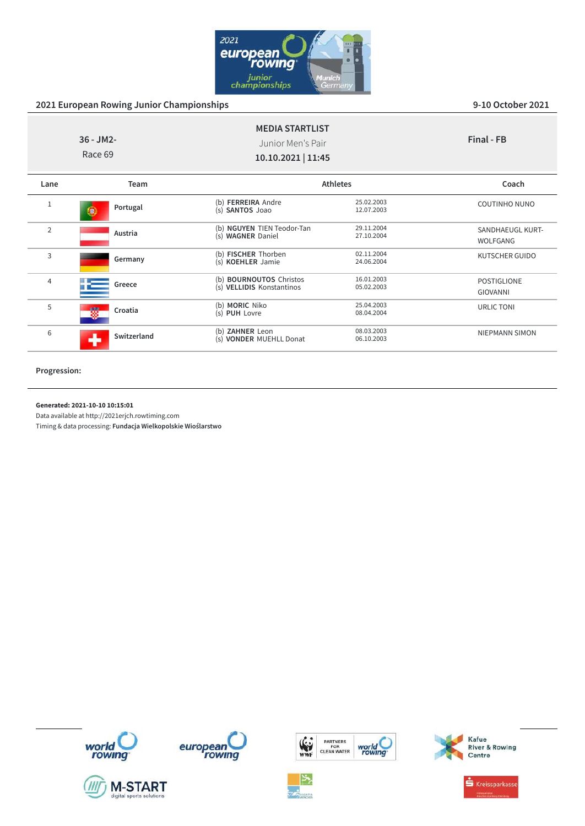

| $36 - JM2 -$<br>Race 69 |                 | <b>MEDIA STARTLIST</b><br>Junior Men's Pair<br>10.10.2021   11:45 |                          | Final - FB                     |
|-------------------------|-----------------|-------------------------------------------------------------------|--------------------------|--------------------------------|
| Lane                    | Team            |                                                                   | <b>Athletes</b>          | Coach                          |
|                         | Portugal<br>98. | (b) <b>FERREIRA</b> Andre<br>(s) SANTOS Joao                      | 25.02.2003<br>12.07.2003 | <b>COUTINHO NUNO</b>           |
| $\overline{2}$          | Austria         | (b) NGUYEN TIEN Teodor-Tan<br>(s) WAGNER Daniel                   | 29.11.2004<br>27.10.2004 | SANDHAEUGL KURT-<br>WOLFGANG   |
| 3                       | Germany         | (b) FISCHER Thorben<br>(s) KOEHLER Jamie                          | 02.11.2004<br>24.06.2004 | KUTSCHER GUIDO                 |
| 4                       | Greece          | (b) <b>BOURNOUTOS</b> Christos<br>(s) VELLIDIS Konstantinos       | 16.01.2003<br>05.02.2003 | POSTIGLIONE<br><b>GIOVANNI</b> |
| 5                       | 磷<br>Croatia    | (b) MORIC Niko<br>(s) PUH Lovre                                   | 25.04.2003<br>08.04.2004 | URLIC TONI                     |
| 6                       | Switzerland     | (b) ZAHNER Leon<br>(s) VONDER MUEHLL Donat                        | 08.03.2003<br>06.10.2003 | <b>NIEPMANN SIMON</b>          |

**Progression:**

#### **Generated: 2021-10-10 10:15:01**

Data available at http://2021erjch.rowtiming.com

Timing & data processing: **Fundacja Wielkopolskie Wioślarstwo**













Kafue<br>River & Rowing<br>Centre

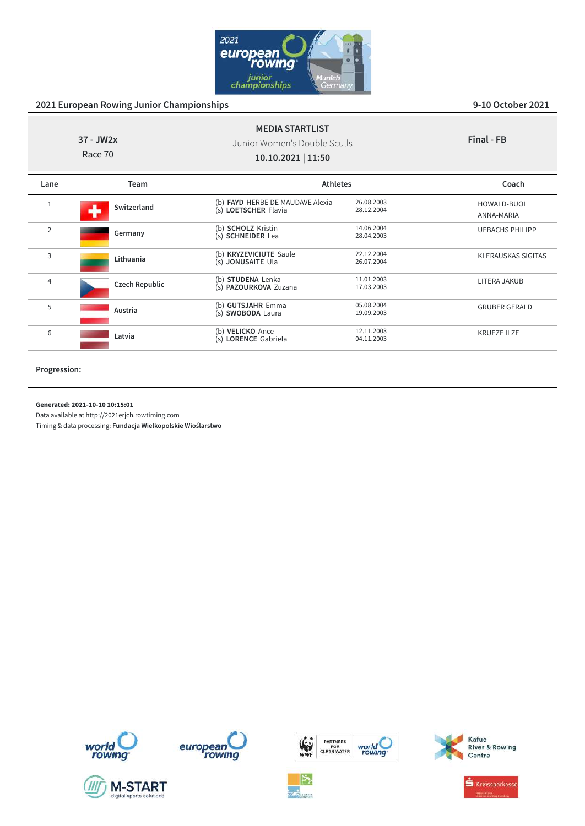

| 37 - JW2x<br>Race 70 |                | <b>MEDIA STARTLIST</b><br>Junior Women's Double Sculls<br>10.10.2021   11:50 |                          | Final - FB                |
|----------------------|----------------|------------------------------------------------------------------------------|--------------------------|---------------------------|
| Lane                 | Team           | <b>Athletes</b>                                                              |                          | Coach                     |
|                      | Switzerland    | (b) FAYD HERBE DE MAUDAVE Alexia<br>(s) LOETSCHER Flavia                     | 26.08.2003<br>28.12.2004 | HOWALD-BUOL<br>ANNA-MARIA |
| $\overline{2}$       | Germany        | (b) SCHOLZ Kristin<br>(s) SCHNEIDER Lea                                      | 14.06.2004<br>28.04.2003 | <b>UEBACHS PHILIPP</b>    |
| 3                    | Lithuania      | (b) KRYZEVICIUTE Saule<br>(s) JONUSAITE Ula                                  | 22.12.2004<br>26.07.2004 | <b>KLERAUSKAS SIGITAS</b> |
| 4                    | Czech Republic | (b) STUDENA Lenka<br>(s) <b>PAZOURKOVA</b> Zuzana                            | 11.01.2003<br>17.03.2003 | LITERA JAKUB              |
| 5                    | Austria        | (b) GUTSJAHR Emma<br>(s) SWOBODA Laura                                       | 05.08.2004<br>19.09.2003 | <b>GRUBER GERALD</b>      |
| 6                    | Latvia         | (b) VELICKO Ance<br>(s) LORENCE Gabriela                                     | 12.11.2003<br>04.11.2003 | <b>KRUEZE ILZE</b>        |

**Progression:**

#### **Generated: 2021-10-10 10:15:01**

Data available at http://2021erjch.rowtiming.com















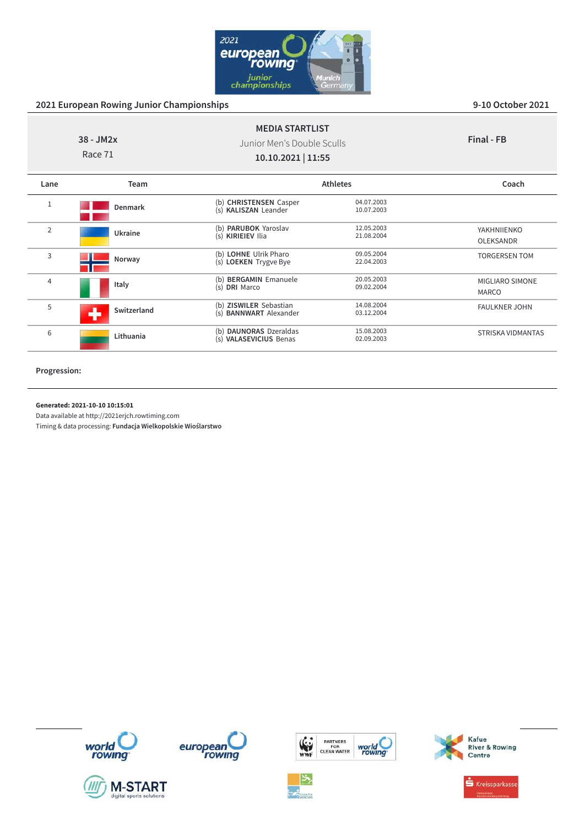

| 38 - JM2x<br>Race 71 |             | <b>MEDIA STARTLIST</b><br>Junior Men's Double Sculls<br>10.10.2021   11:55 |                          | Final - FB                             |
|----------------------|-------------|----------------------------------------------------------------------------|--------------------------|----------------------------------------|
| Lane                 | Team        |                                                                            | <b>Athletes</b>          | Coach                                  |
|                      | Denmark     | (b) CHRISTENSEN Casper<br>(s) KALISZAN Leander                             | 04.07.2003<br>10.07.2003 |                                        |
| $\overline{2}$       | Ukraine     | (b) <b>PARUBOK</b> Yaroslav<br>(s) KIRIEIEV Ilia                           | 12.05.2003<br>21.08.2004 | YAKHNIIENKO<br>OLEKSANDR               |
| 3                    | Norway      | (b) LOHNE Ulrik Pharo<br>(s) LOEKEN Trygve Bye                             | 09.05.2004<br>22.04.2003 | <b>TORGERSEN TOM</b>                   |
| $\overline{4}$       | Italy       | (b) BERGAMIN Emanuele<br>(s) DRI Marco                                     | 20.05.2003<br>09.02.2004 | <b>MIGLIARO SIMONE</b><br><b>MARCO</b> |
| 5                    | Switzerland | (b) ZISWILER Sebastian<br>(s) <b>BANNWART</b> Alexander                    | 14.08.2004<br>03.12.2004 | <b>FAULKNER JOHN</b>                   |
| 6                    | Lithuania   | (b) DAUNORAS Dzeraldas<br>(s) VALASEVICIUS Benas                           | 15.08.2003<br>02.09.2003 | STRISKA VIDMANTAS                      |

**Progression:**

### **Generated: 2021-10-10 10:15:01**

Data available at http://2021erjch.rowtiming.com













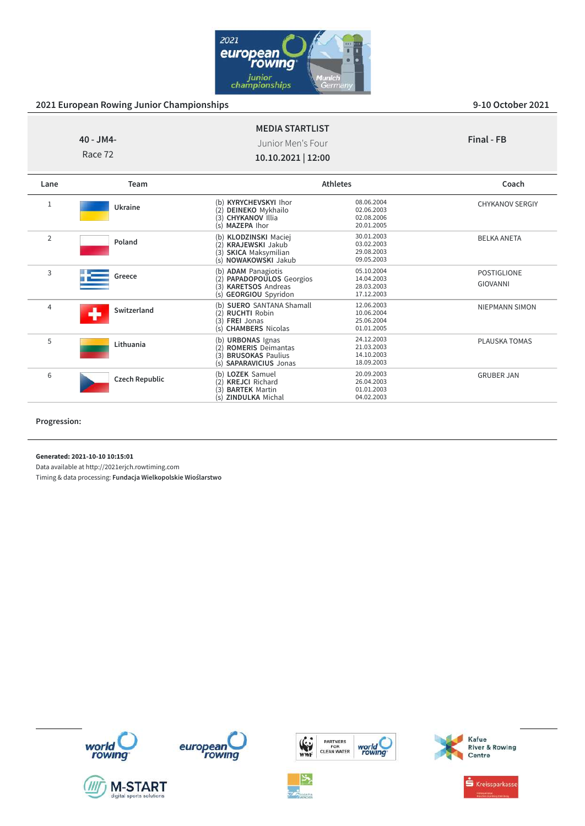

PLAUSKA TOMAS

GRUBER JAN

| $40 - JM4 -$<br>Race 72 |             | <b>MEDIA STARTLIST</b><br>Junior Men's Four<br>10.10.2021   12:00                                                        |                                                      | Final - FB                            |
|-------------------------|-------------|--------------------------------------------------------------------------------------------------------------------------|------------------------------------------------------|---------------------------------------|
| Lane                    | <b>Team</b> |                                                                                                                          | <b>Athletes</b>                                      | Coach                                 |
| 1                       | Ukraine     | <b>KYRYCHEVSKYI Ihor</b><br>(b)<br>(2)<br><b>DEINEKO</b> Mykhailo<br>(3) CHYKANOV Illia<br>MAZEPA Ihor<br>(s)            | 08.06.2004<br>02.06.2003<br>02.08.2006<br>20.01.2005 | <b>CHYKANOV SERGIY</b>                |
| $\overline{2}$          | Poland      | (b) KLODZINSKI Maciej<br>KRAJEWSKI Jakub<br>(2)<br><b>SKICA Maksymilian</b><br>3<br><b>NOWAKOWSKI Jakub</b><br>(s)       | 30.01.2003<br>03.02.2003<br>29.08.2003<br>09.05.2003 | <b>BELKA ANETA</b>                    |
| 3                       | Greece      | (b) ADAM Panagiotis<br>PAPADOPOULOS Georgios<br>(2)<br><b>KARETSOS Andreas</b><br>(3)<br><b>GEORGIOU</b> Spyridon<br>(s) | 05.10.2004<br>14.04.2003<br>28.03.2003<br>17.12.2003 | <b>POSTIGLIONE</b><br><b>GIOVANNI</b> |
| $\overline{4}$          | Switzerland | (b) SUERO SANTANA Shamall<br><b>RUCHTI Robin</b><br>(2)<br>(3)<br><b>FREI Jonas</b><br><b>CHAMBERS Nicolas</b><br>(s)    | 12.06.2003<br>10.06.2004<br>25.06.2004<br>01.01.2005 | NIEPMANN SIMON                        |

(b) **URBONAS** Ignas 24.12.2003 (2) **ROMERIS** Deimantas 21.03.2003 (3) **BRUSOKAS** Paulius 14.10.2003 (s) **SAPARAVICIUS** Jonas 18.09.2003

(b) **LOZEK** Samuel 20.09.2003 (2) **KREJCI** Richard 26.04.2003 (3) **BARTEK** Martin 01.01.2003 (s) **ZINDULKA** Michal 04.02.2003

### **Progression:**

**Generated: 2021-10-10 10:15:01**

<sup>5</sup> **Lithuania**

<sup>6</sup> **Czech Republic**

Data available at http://2021erjch.rowtiming.com















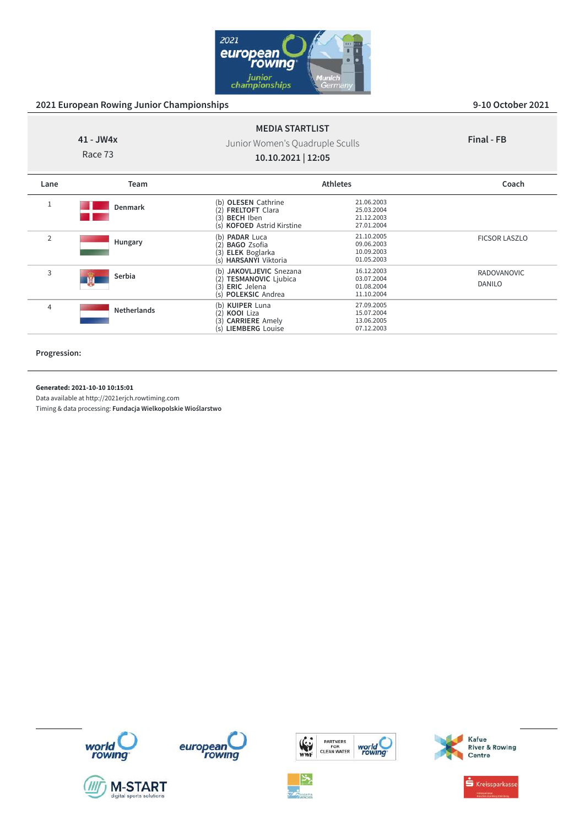

#### **41 - JW4x** Race 73 **MEDIA STARTLIST** Junior Women's Quadruple Sculls **10.10.2021 | 12:05 Final - FB Lane Team Athletes Coach** <sup>1</sup> **Denmark** (b) **OLESEN** Cathrine 21.06.2003 (2) **FRELTOFT** Clara 25.03.2004 (3) **BECH** Iben 2001<br>(3) **BECH** Iben 21.12.2003<br>(5) **KOFOED** Astrid Kirstine 27.01.2004 (s) **KOFOED** Astrid Kirstine <sup>2</sup> **Hungary** (b) **PADAR** Luca 21.10.2005<br>
(2) **BAGO** Zsofia 09.06.2003<br>
(3) **FLEK** Boglarka 10.09.2003 (2) **BAGO** Zsofia 09.06.2003 (3) **ELEK** Boglarka 10.09.2003 (s) **HARSANYI** Viktoria 01.05.2003 FICSOR LASZLO <sup>3</sup> **Serbia** (b) **JAKOVLJEVIC** Snezana 16.12.2003<br>
(2) **TESMANOVIC** Ljubica 03.07.2004<br>
(3) **ERIC** Jelena 01.08.2004 (2) **TESMANOVIC** Ljubica 03.07.2004 (3) **ERIC** Jelena 01.08.2004 (s) **POLEKSIC** Andrea 11.10.2004 RADOVANOVIC DANILO

(b) **KUIPER** Luna 27.09.2005 **KOOI** Liza 15.07.2004<br> **CARRIERE** Amely 13.06.2005<br> **LIEMBERG** Louise 07.12.2003 (3) **CARRIERE** Amely 13.06.2005 (s) **LIEMBERG** Louise 07.12.2003

**Progression:**

**Generated: 2021-10-10 10:15:01**

Data available at http://2021erjch.rowtiming.com

<sup>4</sup> **Netherlands**















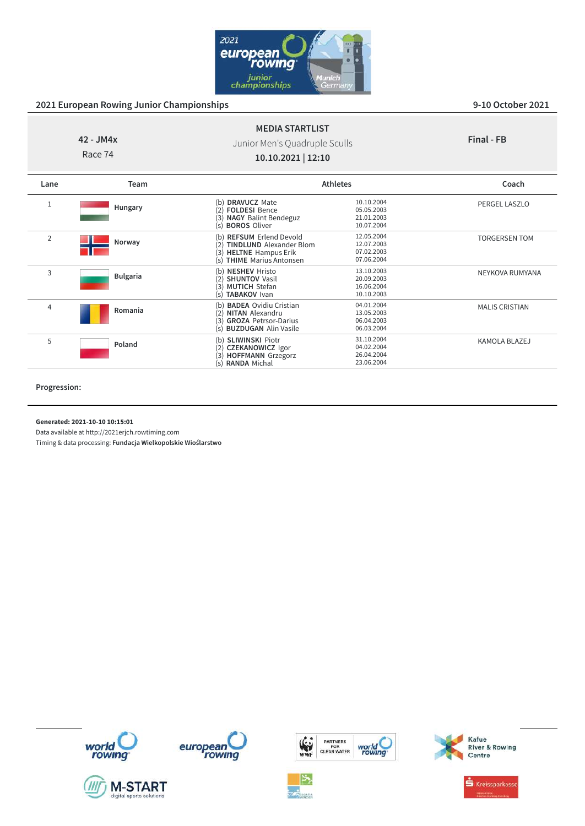

**Final - FB**

# **42 - JM4x**

Race 74

# Junior Men's Quadruple Sculls **10.10.2021 | 12:10**

**MEDIA STARTLIST**

| Lane           | Team            |                                                                                                                                    | <b>Athletes</b>                                      | Coach                 |
|----------------|-----------------|------------------------------------------------------------------------------------------------------------------------------------|------------------------------------------------------|-----------------------|
|                | Hungary         | <b>DRAVUCZ Mate</b><br><b>FOLDESI Bence</b><br>(2)<br><b>NAGY Balint Bendeguz</b><br>(3)<br>(s) <b>BOROS</b> Oliver                | 10.10.2004<br>05.05.2003<br>21.01.2003<br>10.07.2004 | <b>PERGEL LASZLO</b>  |
| $\overline{2}$ | Norway          | (b) REFSUM Erlend Devold<br><b>TINDLUND</b> Alexander Blom<br>(2)<br><b>HELTNE</b> Hampus Erik<br>(3)<br>(s) THIME Marius Antonsen | 12.05.2004<br>12.07.2003<br>07.02.2003<br>07.06.2004 | <b>TORGERSEN TOM</b>  |
| 3              | <b>Bulgaria</b> | (b) NESHEV Hristo<br><b>SHUNTOV Vasil</b><br>(2)<br>(3) MUTICH Stefan<br>(s) TABAKOV Ivan                                          | 13.10.2003<br>20.09.2003<br>16.06.2004<br>10.10.2003 | NEYKOVA RUMYANA       |
| $\overline{4}$ | Romania         | (b) <b>BADEA</b> Ovidiu Cristian<br>(2) NITAN Alexandru<br>(3) GROZA Petrsor-Darius<br>(s) <b>BUZDUGAN</b> Alin Vasile             | 04.01.2004<br>13.05.2003<br>06.04.2003<br>06.03.2004 | <b>MALIS CRISTIAN</b> |
| 5              | Poland          | (b) SLIWINSKI Piotr<br><b>CZEKANOWICZ Igor</b><br>(2)<br>(3) HOFFMANN Grzegorz<br>(s) RANDA Michal                                 | 31.10.2004<br>04.02.2004<br>26.04.2004<br>23.06.2004 | KAMOLA BLAZEJ         |

**Progression:**

**Generated: 2021-10-10 10:15:01**

Data available at http://2021erjch.rowtiming.com

Timing & data processing: **Fundacja Wielkopolskie Wioślarstwo**











PARTNERS<br>FOR<br>CLEAN WATER

world<br>rowing





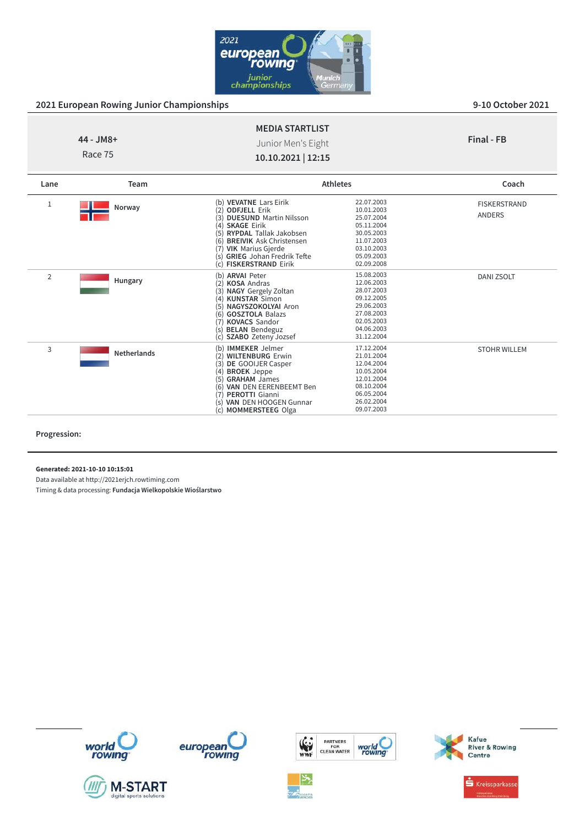

|                      | <b>MEDIA STARTLIST</b>                   |            |
|----------------------|------------------------------------------|------------|
| 44 - JM8+<br>Race 75 | Junior Men's Eight<br>10.10.2021   12:15 | Final - FB |
|                      |                                          |            |

| Lane           | Team               |                                                                                                                                                                                                                                                                                              | <b>Athletes</b>                                                                                                            | Coach                         |
|----------------|--------------------|----------------------------------------------------------------------------------------------------------------------------------------------------------------------------------------------------------------------------------------------------------------------------------------------|----------------------------------------------------------------------------------------------------------------------------|-------------------------------|
| 1              | Norway             | (b) VEVATNE Lars Eirik<br>(2) ODFJELL Erik<br><b>DUESUND Martin Nilsson</b><br>3)<br>(4) SKAGE Eirik<br><b>RYPDAL Tallak Jakobsen</b><br>(5)<br><b>BREIVIK Ask Christensen</b><br>(6)<br>(7)<br><b>VIK Marius Gjerde</b><br><b>GRIEG</b> Johan Fredrik Tefte<br>s)<br>(c) FISKERSTRAND Eirik | 22.07.2003<br>10.01.2003<br>25.07.2004<br>05.11.2004<br>30.05.2003<br>11.07.2003<br>03.10.2003<br>05.09.2003<br>02.09.2008 | <b>FISKERSTRAND</b><br>ANDERS |
| $\overline{2}$ | Hungary            | (b) ARVAI Peter<br>(2) KOSA Andras<br>3)<br><b>NAGY</b> Gergely Zoltan<br>(4) KUNSTAR Simon<br>(5) NAGYSZOKOLYAI Aron<br><b>GOSZTOLA Balazs</b><br>(6)<br><b>KOVACS Sandor</b><br>(7)<br><b>BELAN</b> Bendeguz<br>s)<br><b>SZABO</b> Zeteny Jozsef<br>(c)                                    | 15.08.2003<br>12.06.2003<br>28.07.2003<br>09.12.2005<br>29.06.2003<br>27.08.2003<br>02.05.2003<br>04.06.2003<br>31.12.2004 | DANI ZSOLT                    |
| 3              | <b>Netherlands</b> | (b) <b>IMMEKER</b> Jelmer<br>(2) WILTENBURG Erwin<br>(3)<br>DE GOOIJER Casper<br><b>BROEK</b> Jeppe<br>(4)<br>(5) GRAHAM James<br>VAN DEN EERENBEEMT Ben<br>(6)<br>(7)<br>PEROTTI Gianni<br>VAN DEN HOOGEN Gunnar<br>S)<br><b>MOMMERSTEEG Olga</b><br>(C)                                    | 17.12.2004<br>21.01.2004<br>12.04.2004<br>10.05.2004<br>12.01.2004<br>08.10.2004<br>06.05.2004<br>26.02.2004<br>09.07.2003 | <b>STOHR WILLEM</b>           |

**Progression:**

**Generated: 2021-10-10 10:15:01**

Data available at http://2021erjch.rowtiming.com













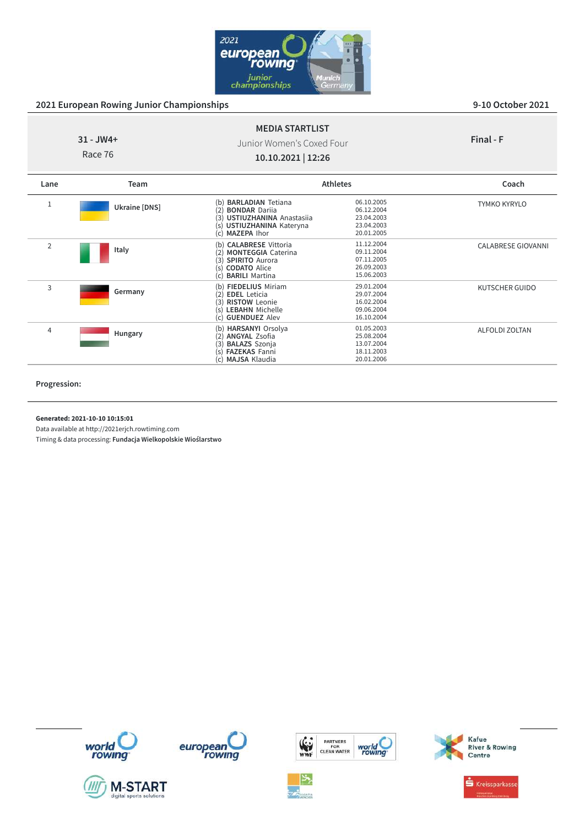

ALFOLDI ZOLTAN

#### **31 - JW4+** Race 76 **MEDIA STARTLIST** Junior Women's Coxed Four **10.10.2021 | 12:26 Final - F Lane Team Athletes Coach** <sup>1</sup> **Ukraine [DNS]** (b) **BARLADIAN** Tetiana 06.10.2005 (2) **BONDAR** Dariia 06.12.2004 (3) **USTIUZHANINA** Anastasiia 23.04.2003 (s) **USTIUZHANINA** Kateryna 23.04.2003<br>
(c) **MAZEPA** lhor 20.01.2005 (c) **MAZEPA** Ihor TYMKO KYRYLO 2 **Italy** (b) **CALABRESE** Vittoria 11.12.2004<br>(2) **MONTEGGIA** Caterina 09.11.2004 (3) **SPIRITO** Aurora 07.11.2005 (s) **CODATO** Alice 26.09.2003 (c) **BARILI** Martina 15.06.2003 CALABRESE GIOVANNI <sup>3</sup> **Germany** (**b**) **FIEDELIUS** Miriam 29.01.2004<br>
(2) **EDEL** Leticia 29.07.2004<br>
(3) **RISTOW** Leonie 16.02.2004 **EDEL** Leticia 29.07.2004<br> **RISTOW** Leonie 16.02.2004 KUTSCHER GUIDO

(3) **RISTOW** Leonie 16.02.2004 (s) **LEBAHN** Michelle 09.06.2004 (c) **GUENDUEZ** Alev 16.10.2004

(**b**) **HARSANYI** Orsolya 01.05.2003<br>
(2) **ANGYAL** Zsofia 25.08.2004<br>
(3) **BALAZS** Szonja 13.07.2004 (2) **ANGYAL** Zsofia 25.08.2004 (3) **BALAZS** Szonja 13.07.2004 (s) **FAZEKAS** Fanni 18.11.2003<br>
(c) **MAJSA** Klaudia 18.11.2006

(c) **MAJSA** Klaudia

#### **Progression:**

**Generated: 2021-10-10 10:15:01**

<sup>4</sup> **Hungary**

Data available at http://2021erjch.rowtiming.com













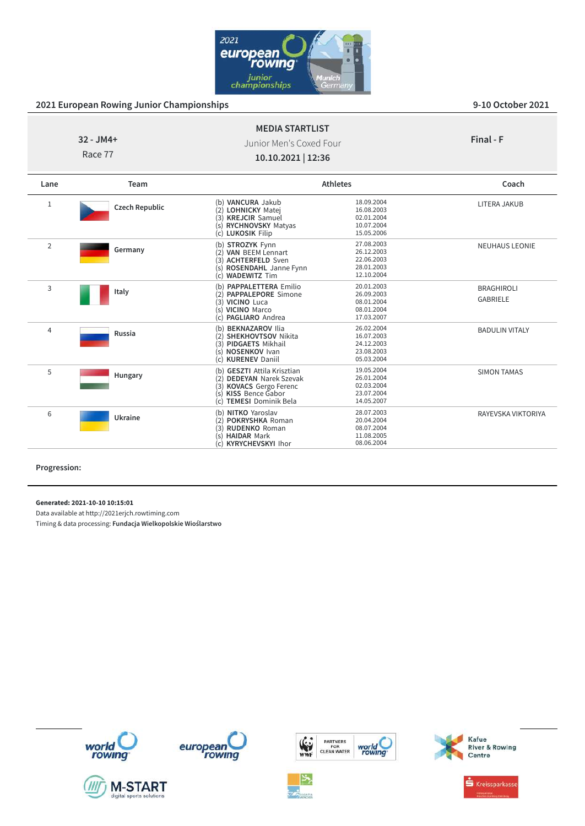

BADULIN VITALY

SIMON TAMAS

RAYEVSKA VIKTORIYA

#### **32 - JM4+** Race 77 **MEDIA STARTLIST** Junior Men's Coxed Four **10.10.2021 | 12:36 Final - F Lane Team Athletes Coach** <sup>1</sup> **Czech Republic** (b) **VANCURA** Jakub 18.09.2004 (2) **LOHNICKY** Matej 16.08.2003 (3) **KREJCIR** Samuel **1996**<br>
(3) **KREJCIR** Samuel **02.01.2004**<br>
(5) **RYCHNOVSKY** Matyas **10.07.2004** (s) **RYCHNOVSKY** Matyas 10.07.2004<br>(c) LUKOSIK Filip 15.05.2006 (c) **LUKOSIK** Filip 15.05.2006 LITERA JAKUB <sup>2</sup> **Germany** (**b**) **STROZYK** Fynn<br>
(**2**) **VAN** BEEM Lennart 26.12.2003 (3) **ACHTERFELD** Sven<br>
(3) **ACHTERFELD** Sven<br>
(5) **ROSENDAHL** Janne Fynn<br>
28.01.2003 (s) **ROSENDAHL** Janne Fynn 28.01.2003<br>
(c) **WADEWITZ** Tim 12.10.2004 (c) **WADEWITZ** Tim 12.10.2004 NEUHAUS LEONIE 3 **Italy** (**b) PAPPALETTERA** Emilio 20.01.2003<br>
(2) **PAPPALEPORE** Simone 26.09.2003<br>
(3) **VICINO** Luca 08.01.2004 **PAPPALEPORE** Simone 26.09.2003<br>VICINO Luca 08.01.2004 **VICINO** Luca 08.01.2004<br> **VICINO** Marco 08.01.2004 (s) **VICINO** Marco 08.01.2004<br>
(c) **PAGLIARO** Andrea 08.01.2007 (c) **PAGLIARO** Andrea BRAGHIROLI GABRIELE

(**b) BEKNAZAROV** Ilia 26.02.2004<br>
(2) **SHEKHOVTSOV** Nikita 16.07.2003<br>
(3) **PIDGAETS** Mikhail 24.12.2003 **SHEKHOVTSOV** Nikita 16.07.2003<br> **PIDGAETS** Mikhail 24.12.2003 (3) **PIDGAETS** Mikhail 24.12.2003 **NOSENKOV** Ivan 23.08.2003<br> **KIIBENEV** Daniil 05.03.2004

(b) **GESZTI** Attila Krisztian 19.05.2004<br>(2) **DEDEYAN** Narek Szevak 26.01.2004 (2) **DEDEYAN** Narek Szevak 26.01.2004 (3) **KOVACS** Gergo Ferenc 02.03.2004 (s) **KISS** Bence Gabor 23.07.2004<br>
(c) **TEMESI** Dominik Bela 214.05.2007

(b) **NITKO** Yaroslav 28.07.2003<br>
(2) **POKRYSHKA** Roman 20.04.2004<br>
(3) **RUDENKO** Roman 08.07.2004 **POKRYSHKA** Roman 20.04.2004<br> **RUDENKO** Roman 08.07.2004 **RUDENKO** Roman 08.07.2004<br> **HAIDAR** Mark 11.08.2005 (s) **HAIDAR** Mark 11.08.2005<br>
(c) **KYRYCHEVSKYI** Ihor 08.06.2004

(c) **KURENEV** Daniil 05.03.2004

(c) **TEMESI** Dominik Bela 14.05.2007

KYRYCHEVSKYI Ihor

**Progression:**

**Generated: 2021-10-10 10:15:01**

<sup>4</sup> **Russia**

<sup>5</sup> **Hungary**

<sup>6</sup> **Ukraine**

Data available at http://2021erjch.rowtiming.com Timing & data processing: **Fundacja Wielkopolskie Wioślarstwo**













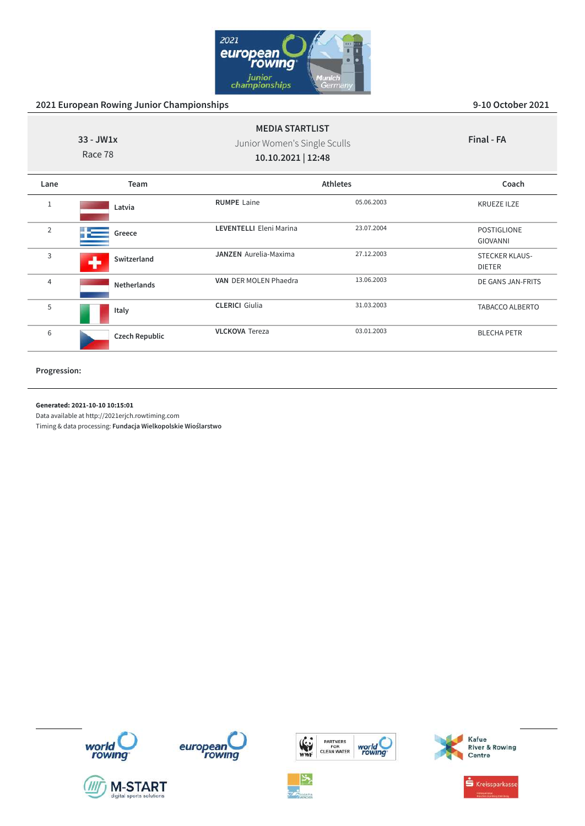

| $33 - JW1x$<br>Race 78 |                       | <b>MEDIA STARTLIST</b><br>Junior Women's Single Sculls<br>10.10.2021   12:48 |            | Final - FA                             |
|------------------------|-----------------------|------------------------------------------------------------------------------|------------|----------------------------------------|
| Lane                   | Team                  | <b>Athletes</b>                                                              |            | Coach                                  |
| $\mathbf{1}$           | Latvia                | <b>RUMPE</b> Laine                                                           | 05.06.2003 | <b>KRUEZE ILZE</b>                     |
| $\overline{2}$         | Greece                | <b>LEVENTELLI Eleni Marina</b>                                               | 23.07.2004 | <b>POSTIGLIONE</b><br><b>GIOVANNI</b>  |
| 3                      | Switzerland           | <b>JANZEN</b> Aurelia-Maxima                                                 | 27.12.2003 | <b>STECKER KLAUS-</b><br><b>DIETER</b> |
| $\overline{4}$         | <b>Netherlands</b>    | VAN DER MOLEN Phaedra                                                        | 13.06.2003 | DE GANS JAN-FRITS                      |
| 5                      | Italy                 | <b>CLERICI</b> Giulia                                                        | 31.03.2003 | TABACCO ALBERTO                        |
| 6                      | <b>Czech Republic</b> | <b>VLCKOVA</b> Tereza                                                        | 03.01.2003 | <b>BLECHA PETR</b>                     |

**Progression:**

#### **Generated: 2021-10-10 10:15:01**

Data available at http://2021erjch.rowtiming.com















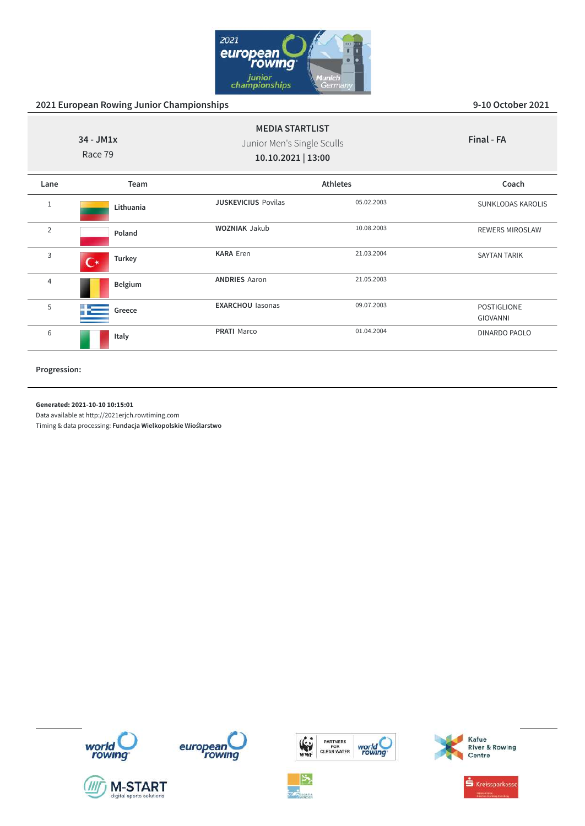

| $34 - JM1x$<br>Race 79 |                          | <b>MEDIA STARTLIST</b><br>Junior Men's Single Sculls<br>10.10.2021   13:00 |                 | Final - FA               |
|------------------------|--------------------------|----------------------------------------------------------------------------|-----------------|--------------------------|
| Lane                   | Team                     |                                                                            | <b>Athletes</b> | Coach                    |
| $1\,$                  | Lithuania                | <b>JUSKEVICIUS Povilas</b>                                                 | 05.02.2003      | <b>SUNKLODAS KAROLIS</b> |
| $\overline{2}$         | Poland                   | <b>WOZNIAK Jakub</b>                                                       | 10.08.2003      | <b>REWERS MIROSLAW</b>   |
| 3                      | Turkey<br>$\mathfrak{c}$ | <b>KARA Eren</b>                                                           | 21.03.2004      | <b>SAYTAN TARIK</b>      |
| 4                      | Belgium                  | <b>ANDRIES Aaron</b>                                                       | 21.05.2003      |                          |
| 5                      | Greece                   | <b>EXARCHOU lasonas</b>                                                    | 09.07.2003      | POSTIGLIONE<br>GIOVANNI  |
| 6                      | Italy                    | <b>PRATI Marco</b>                                                         | 01.04.2004      | DINARDO PAOLO            |

**Progression:**

#### **Generated: 2021-10-10 10:15:01**

Data available at http://2021erjch.rowtiming.com











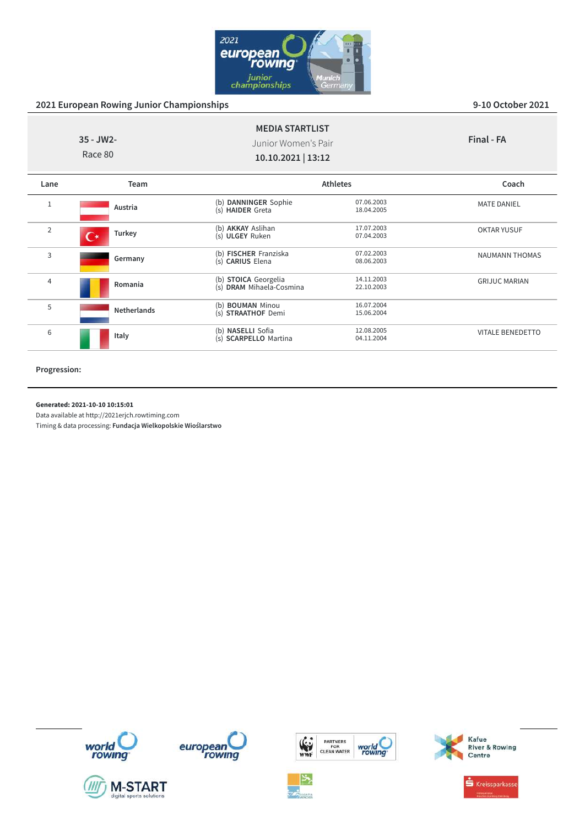

| $35 - JW2 -$<br>Race 80 |                    | <b>MEDIA STARTLIST</b><br>Junior Women's Pair<br>10.10.2021   13:12 |                          | Final - FA              |
|-------------------------|--------------------|---------------------------------------------------------------------|--------------------------|-------------------------|
| Lane                    | Team               |                                                                     | <b>Athletes</b>          | Coach                   |
| $\mathbf{1}$            | Austria            | (b) DANNINGER Sophie<br>(s) HAIDER Greta                            | 07.06.2003<br>18.04.2005 | <b>MATE DANIEL</b>      |
| $\overline{2}$          | Turkey             | (b) AKKAY Aslihan<br>(s) ULGEY Ruken                                | 17.07.2003<br>07.04.2003 | <b>OKTAR YUSUF</b>      |
| 3                       | Germany            | (b) FISCHER Franziska<br>(s) CARIUS Elena                           | 07.02.2003<br>08.06.2003 | <b>NAUMANN THOMAS</b>   |
| 4                       | Romania            | (b) STOICA Georgelia<br>(s) DRAM Mihaela-Cosmina                    | 14.11.2003<br>22.10.2003 | <b>GRIJUC MARIAN</b>    |
| 5                       | <b>Netherlands</b> | (b) <b>BOUMAN</b> Minou<br>(s) STRAATHOF Demi                       | 16.07.2004<br>15.06.2004 |                         |
| 6                       | Italy              | (b) NASELLI Sofia<br>(s) SCARPELLO Martina                          | 12.08.2005<br>04.11.2004 | <b>VITALE BENEDETTO</b> |

**Progression:**

#### **Generated: 2021-10-10 10:15:01**

Data available at http://2021erjch.rowtiming.com















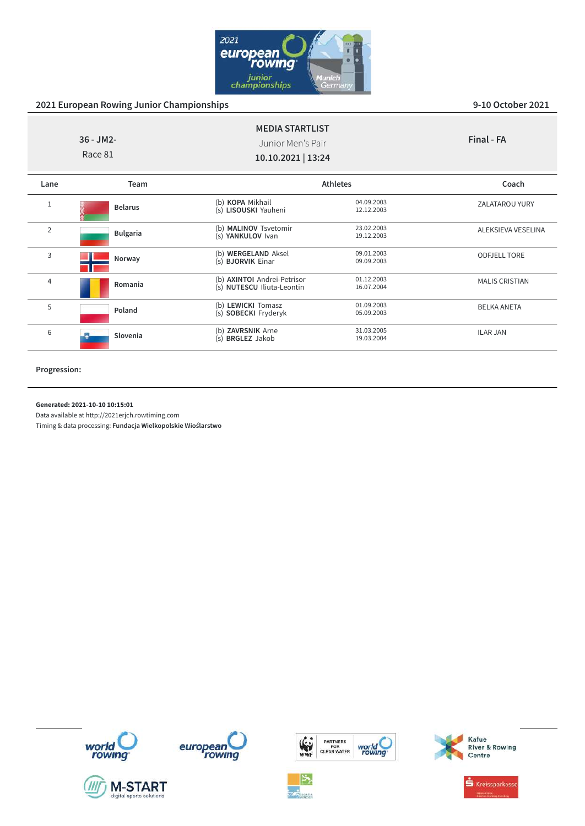

|                | $36 - JM2$ -<br>Race 81 | <b>MEDIA STARTLIST</b><br>Junior Men's Pair<br>10.10.2021   13:24 |                          | Final - FA            |
|----------------|-------------------------|-------------------------------------------------------------------|--------------------------|-----------------------|
| Lane           | Team                    |                                                                   | <b>Athletes</b>          | Coach                 |
| $\mathbf{1}$   | <b>Belarus</b>          | (b) KOPA Mikhail<br>(s) LISOUSKI Yauheni                          | 04.09.2003<br>12.12.2003 | <b>ZALATAROU YURY</b> |
| $\overline{2}$ | <b>Bulgaria</b>         | (b) MALINOV Tsvetomir<br>(s) YANKULOV Ivan                        | 23.02.2003<br>19.12.2003 | ALEKSIEVA VESELINA    |
| 3              | Norway                  | (b) WERGELAND Aksel<br>(s) <b>BJORVIK</b> Einar                   | 09.01.2003<br>09.09.2003 | <b>ODFJELL TORE</b>   |
| $\overline{4}$ | Romania                 | (b) AXINTOI Andrei-Petrisor<br>(s) NUTESCU Iliuta-Leontin         | 01.12.2003<br>16.07.2004 | <b>MALIS CRISTIAN</b> |
| 5              | Poland                  | (b) LEWICKI Tomasz<br>(s) SOBECKI Fryderyk                        | 01.09.2003<br>05.09.2003 | <b>BELKA ANETA</b>    |
| 6              | Slovenia                | (b) ZAVRSNIK Arne<br>(s) <b>BRGLEZ</b> Jakob                      | 31.03.2005<br>19.03.2004 | <b>ILAR JAN</b>       |

**Progression:**

#### **Generated: 2021-10-10 10:15:01**

Data available at http://2021erjch.rowtiming.com













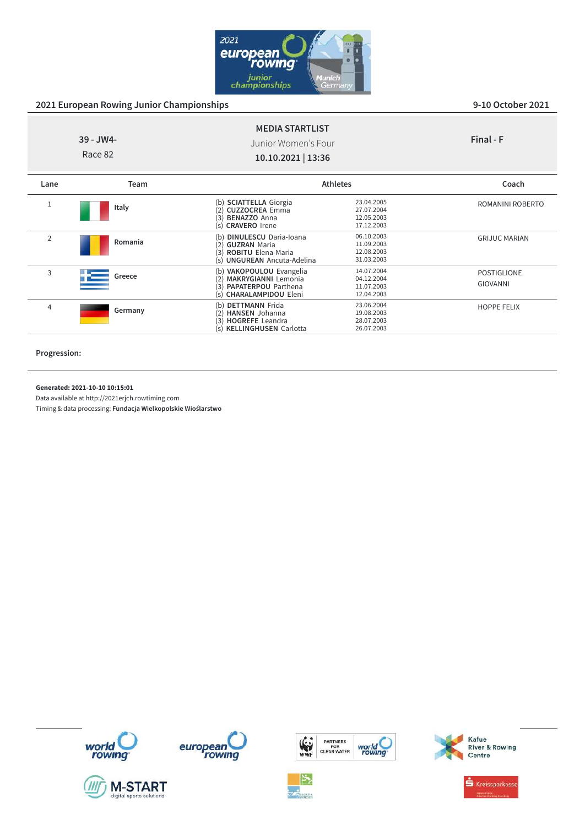

HOPPE FELIX

|                | 39 - JW4-<br>Race 82 | <b>MEDIA STARTLIST</b><br>Junior Women's Four<br>10.10.2021   13:36                                           |                                                      | Final - F                             |
|----------------|----------------------|---------------------------------------------------------------------------------------------------------------|------------------------------------------------------|---------------------------------------|
| Lane           | Team                 |                                                                                                               | <b>Athletes</b>                                      | Coach                                 |
|                | Italy                | (b) SCIATTELLA Giorgia<br><b>CUZZOCREA Emma</b><br>(3) <b>BENAZZO</b> Anna<br>(s) <b>CRAVERO</b> Irene        | 23.04.2005<br>27.07.2004<br>12.05.2003<br>17.12.2003 | ROMANINI ROBERTO                      |
| $\overline{2}$ | Romania              | (b) DINULESCU Daria-Ioana<br>(2) GUZRAN Maria<br>(3) ROBITU Elena-Maria<br>(s) <b>UNGUREAN</b> Ancuta-Adelina | 06.10.2003<br>11.09.2003<br>12.08.2003<br>31.03.2003 | <b>GRIJUC MARIAN</b>                  |
| 3              | Greece               | (b) VAKOPOULOU Evangelia<br>(2) MAKRYGIANNI Lemonia<br>(3) PAPATERPOU Parthena<br>(s) CHARALAMPIDOU Eleni     | 14.07.2004<br>04.12.2004<br>11.07.2003<br>12.04.2003 | <b>POSTIGLIONE</b><br><b>GIOVANNI</b> |

(b) **DETTMANN** Frida 23.06.2004 (2) **HANSEN** Johanna 19.08.2003 (3) **HOGREFE** Leandra 28.07.2003 (s) **KELLINGHUSEN** Carlotta 26.07.2003

**Progression:**

**Generated: 2021-10-10 10:15:01**

<sup>4</sup> **Germany**

Data available at http://2021erjch.rowtiming.com

Timing & data processing: **Fundacja Wielkopolskie Wioślarstwo**















Kreissparkasse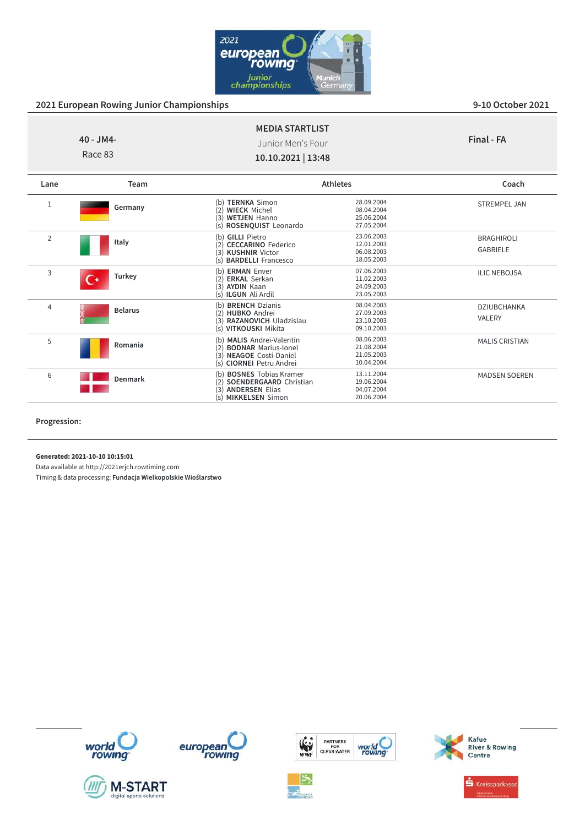

| <b>MEDIA STARTLIST</b><br>40 - JM4-<br>Junior Men's Four<br>Race 83<br>10.10.2021   13:48 |         |                                                                                                            | Final - FA                                           |                     |
|-------------------------------------------------------------------------------------------|---------|------------------------------------------------------------------------------------------------------------|------------------------------------------------------|---------------------|
| Lane                                                                                      | Team    |                                                                                                            | <b>Athletes</b>                                      | Coach               |
| ÷.                                                                                        | Germany | <b>TERNKA Simon</b><br>(b)<br><b>WIECK Michel</b><br>(3)<br><b>WETJEN Hanno</b><br>(s) ROSENQUIST Leonardo | 28.09.2004<br>08.04.2004<br>25.06.2004<br>27.05.2004 | <b>STREMPEL JAN</b> |

| $\overline{2}$ | Italy          | (b) GILLI Pietro<br>(2)<br><b>CECCARINO Federico</b><br><b>KUSHNIR Victor</b><br>(3)<br>(s) <b>BARDELLI</b> Francesco                             | 23.06.2003<br>12.01.2003<br>06.08.2003<br>18.05.2003 | <b>BRAGHIROLI</b><br><b>GABRIELE</b> |
|----------------|----------------|---------------------------------------------------------------------------------------------------------------------------------------------------|------------------------------------------------------|--------------------------------------|
| 3              | Turkey         | <b>ERMAN Enver</b><br>(b)<br><b>ERKAL Serkan</b><br>(2)<br>(3)<br><b>AYDIN Kaan</b><br>(s) <b>ILGUN</b> Ali Ardil                                 | 07.06.2003<br>11.02.2003<br>24.09.2003<br>23.05.2003 | <b>ILIC NEBOJSA</b>                  |
| 4              | <b>Belarus</b> | <b>BRENCH Dzianis</b><br>(b)<br><b>HUBKO</b> Andrei<br>(2)<br>RAZANOVICH Uladzislau<br>(3)<br>VITKOUSKI Mikita<br>(s)                             | 08.04.2003<br>27.09.2003<br>23.10.2003<br>09.10.2003 | DZIUBCHANKA<br><b>VALERY</b>         |
| 5              | Romania        | <b>MALIS Andrei-Valentin</b><br>(h)<br><b>BODNAR Marius-lonel</b><br>(2)<br><b>NEAGOE Costi-Daniel</b><br>3<br><b>CIORNEI Petru Andrei</b><br>(s) | 08.06.2003<br>21.08.2004<br>21.05.2003<br>10.04.2004 | <b>MALIS CRISTIAN</b>                |
| 6              | <b>Denmark</b> | <b>BOSNES Tobias Kramer</b><br>(b)<br><b>SOENDERGAARD</b> Christian<br>(2)<br><b>ANDERSEN Elias</b><br>(3)<br><b>MIKKELSEN Simon</b><br>(S)       | 13.11.2004<br>19.06.2004<br>04.07.2004<br>20.06.2004 | <b>MADSEN SOEREN</b>                 |

**Progression:**

**Generated: 2021-10-10 10:15:01**

Data available at http://2021erjch.rowtiming.com













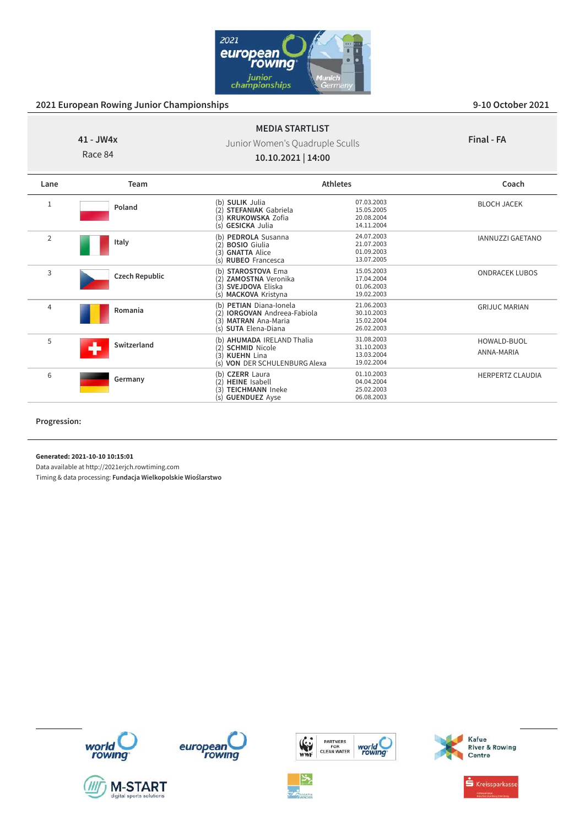

**Final - FA**

#### **41 - JW4x** Race 84 **MEDIA STARTLIST** Junior Women's Quadruple Sculls **10.10.2021 | 14:00**

| Lane        | Team                  | <b>Athletes</b>                                                                                                             |                                                      | Coach                     |
|-------------|-----------------------|-----------------------------------------------------------------------------------------------------------------------------|------------------------------------------------------|---------------------------|
| $\mathbf 1$ | Poland                | (b) SULIK Julia<br><b>STEFANIAK Gabriela</b><br><b>KRUKOWSKA Zofia</b><br>(3)<br>(s) <b>GESICKA</b> Julia                   | 07.03.2003<br>15.05.2005<br>20.08.2004<br>14.11.2004 | <b>BLOCH JACEK</b>        |
| 2           | Italy                 | PEDROLA Susanna<br>(b)<br><b>BOSIO</b> Giulia<br>(2)<br><b>GNATTA Alice</b><br>(3)<br>(s) RUBEO Francesca                   | 24.07.2003<br>21.07.2003<br>01.09.2003<br>13.07.2005 | <b>IANNUZZI GAETANO</b>   |
| 3           | <b>Czech Republic</b> | STAROSTOVA Ema<br>(b)<br><b>ZAMOSTNA Veronika</b><br>SVEJDOVA Eliska<br>(3)<br>(s) MACKOVA Kristyna                         | 15.05.2003<br>17.04.2004<br>01.06.2003<br>19.02.2003 | <b>ONDRACEK LUBOS</b>     |
| 4           | Romania               | (b) PETIAN Diana-Ionela<br><b>IORGOVAN</b> Andreea-Fabiola<br>(2)<br><b>MATRAN</b> Ana-Maria<br>(3)<br>(s) SUTA Elena-Diana | 21.06.2003<br>30.10.2003<br>15.02.2004<br>26.02.2003 | <b>GRIJUC MARIAN</b>      |
| 5           | Switzerland           | (b) AHUMADA IRELAND Thalia<br>(2) SCHMID Nicole<br>(3)<br><b>KUEHN Lina</b><br>(s) VON DER SCHULENBURG Alexa                | 31.08.2003<br>31.10.2003<br>13.03.2004<br>19.02.2004 | HOWALD-BUOL<br>ANNA-MARIA |
| 6           | Germany               | (b) CZERR Laura<br><b>HEINE</b> Isabell<br>(2)<br><b>TEICHMANN Ineke</b><br>(3)<br>(s) <b>GUENDUEZ</b> Ayse                 | 01.10.2003<br>04.04.2004<br>25.02.2003<br>06.08.2003 | <b>HERPERTZ CLAUDIA</b>   |

**Progression:**

**Generated: 2021-10-10 10:15:01**

Data available at http://2021erjch.rowtiming.com















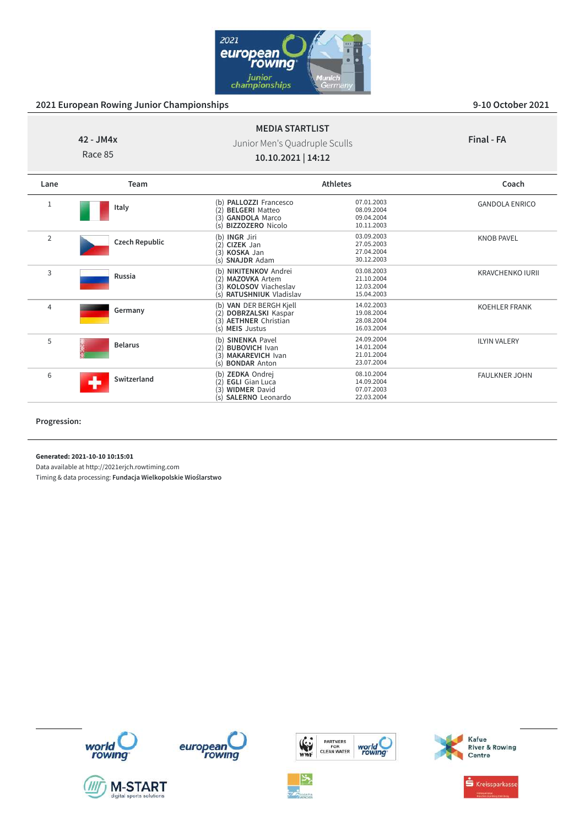

**Final - FA**

# **42 - JM4x**

Race 85

# Junior Men's Quadruple Sculls **10.10.2021 | 14:12**

**MEDIA STARTLIST**

| Lane           | Team                  |                                                                                                                           | <b>Athletes</b>                                      | Coach                   |
|----------------|-----------------------|---------------------------------------------------------------------------------------------------------------------------|------------------------------------------------------|-------------------------|
| $\mathbf{1}$   | Italy                 | <b>PALLOZZI Francesco</b><br>(b)<br><b>BELGERI</b> Matteo<br>2<br>(3)<br><b>GANDOLA Marco</b><br>(s) BIZZOZERO Nicolo     | 07.01.2003<br>08.09.2004<br>09.04.2004<br>10.11.2003 | <b>GANDOLA ENRICO</b>   |
| $\overline{2}$ | <b>Czech Republic</b> | (b) <b>INGR</b> Jiri<br>CIZEK Jan<br>(2)<br>(3) KOSKA Jan<br>(s) <b>SNAJDR</b> Adam                                       | 03.09.2003<br>27.05.2003<br>27.04.2004<br>30.12.2003 | <b>KNOB PAVEL</b>       |
| 3              | Russia                | (b) NIKITENKOV Andrei<br><b>MAZOVKA Artem</b><br>(2)<br><b>KOLOSOV</b> Viacheslav<br>(3)<br>(s) RATUSHNIUK Vladislav      | 03.08.2003<br>21.10.2004<br>12.03.2004<br>15.04.2003 | <b>KRAVCHENKO IURII</b> |
| 4              | Germany               | (b) VAN DER BERGH Kjell<br><b>DOBRZALSKI</b> Kaspar<br>(2)<br>(3) AETHNER Christian<br>(s) MEIS Justus                    | 14.02.2003<br>19.08.2004<br>28.08.2004<br>16.03.2004 | <b>KOEHLER FRANK</b>    |
| 5              | <b>Belarus</b>        | <b>SINENKA Pavel</b><br>(b)<br><b>BUBOVICH Ivan</b><br>(2)<br>(3)<br><b>MAKAREVICH Ivan</b><br><b>BONDAR Anton</b><br>(s) | 24.09.2004<br>14.01.2004<br>21.01.2004<br>23.07.2004 | <b>ILYIN VALERY</b>     |
| 6              | Switzerland           | (b) ZEDKA Ondrej<br><b>EGLI</b> Gian Luca<br>(2)<br><b>WIDMER David</b><br>(3)<br>(s) SALERNO Leonardo                    | 08.10.2004<br>14.09.2004<br>07.07.2003<br>22.03.2004 | <b>FAULKNER JOHN</b>    |

**Progression:**

**Generated: 2021-10-10 10:15:01**

Data available at http://2021erjch.rowtiming.com

Timing & data processing: **Fundacja Wielkopolskie Wioślarstwo**













Kafue<br>River & Rowing<br>Centre

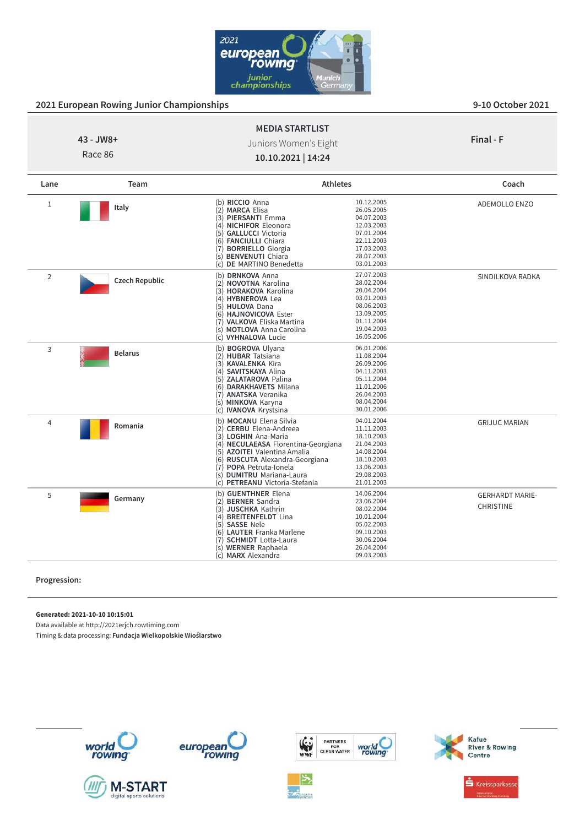

GERHARDT MARIE-CHRISTINE

| 2021 European Rowing Junior Championships |                       |                                                                                                                                                                                                                                |                                                                                                                            | <b>2-TO OCTODEL SAST</b> |
|-------------------------------------------|-----------------------|--------------------------------------------------------------------------------------------------------------------------------------------------------------------------------------------------------------------------------|----------------------------------------------------------------------------------------------------------------------------|--------------------------|
| 43 - JW8+<br>Race 86                      |                       | <b>MEDIA STARTLIST</b><br>Juniors Women's Eight<br>10.10.2021   14:24                                                                                                                                                          |                                                                                                                            | Final - F                |
| Lane                                      | Team                  | <b>Athletes</b>                                                                                                                                                                                                                |                                                                                                                            | Coach                    |
| 1                                         | Italy                 | (b) RICCIO Anna<br>(2) MARCA Elisa<br>(3) PIERSANTI Emma<br>(4) NICHIFOR Eleonora<br>(5) GALLUCCI Victoria<br>(6) FANCIULLI Chiara<br>(7) BORRIELLO Giorgia<br>(s) BENVENUTI Chiara<br>DE MARTINO Benedetta<br>(c)             | 10.12.2005<br>26.05.2005<br>04.07.2003<br>12.03.2003<br>07.01.2004<br>22.11.2003<br>17.03.2003<br>28.07.2003<br>03.01.2003 | <b>ADEMOLLO ENZO</b>     |
| 2                                         | <b>Czech Republic</b> | (b) DRNKOVA Anna<br>(2) NOVOTNA Karolina<br>(3) HORAKOVA Karolina<br>(4) HYBNEROVA Lea<br>(5) HULOVA Dana<br>(6) HAJNOVICOVA Ester<br>(7) VALKOVA Eliska Martina<br>(s) MOTLOVA Anna Carolina<br>(c) VYHNALOVA Lucie           | 27.07.2003<br>28.02.2004<br>20.04.2004<br>03.01.2003<br>08.06.2003<br>13.09.2005<br>01.11.2004<br>19.04.2003<br>16.05.2006 | SINDILKOVA RADKA         |
| 3                                         | <b>Belarus</b>        | (b) BOGROVA Ulyana<br>(2) HUBAR Tatsiana<br>(3) KAVALENKA Kira<br>(4) SAVITSKAYA Alina<br>(5) ZALATAROVA Palina<br>(6) DARAKHAVETS Milana<br>(7) <b>ANATSKA</b> Veranika<br>(s) MINKOVA Karyna<br>(c) <b>IVANOVA</b> Krystsina | 06.01.2006<br>11.08.2004<br>26.09.2006<br>04.11.2003<br>05.11.2004<br>11.01.2006<br>26.04.2003<br>08.04.2004<br>30.01.2006 |                          |
| 4                                         | Romania               | (b) MOCANU Elena Silvia<br>(2) CERBU Elena-Andreea<br>(3) LOGHIN Ana-Maria<br>(4) NECULAEASA Florentina-Georgiana<br>(5) AZOITEI Valentina Amalia                                                                              | 04.01.2004<br>11.11.2003<br>18.10.2003<br>21.04.2003<br>14.08.2004                                                         | <b>GRIJUC MARIAN</b>     |

(6) **RUSCUTA** Alexandra-Georgiana 18.10.2003<br>(7) **POPA** Petruta-lonela 13.06.2003 (7) **POPA** Petruta-Ionela 13.06.2003 (s) **DUMITRU** Mariana-Laura 29.08.2003 (c) **PETREANU** Victoria-Stefania 21.01.2003

(**b) GUENTHNER** Elena 14.06.2004<br>(2) **BERNER** Sandra 23.06.2004<br>(3) JUSCHKA Kathrin 08.02.2004 (**b) GUENTHNER** Elena (**2) BERNER** Sandra (**2) BERNER Sandra** (**3) JUSCHKA Kathrin** (**4) OB 0.021.2004** (**4) BREITENFELDT** Lina (**4)** 0.01.2004 (**5) SASSE** Nele

(5) **SASSE** Nele 05.02.2003 (6) **LAUTER** Franka Marlene 09.10.2003 (7) **SCHMIDT** Lotta-Laura 30.06.2004 (s) **WERNER** Raphaela 26.04.2004<br>
(c) **MARX** Alexandra 29.03.2003

**MARX** Alexandra

#### **Progression:**

**Generated: 2021-10-10 10:15:01**

<sup>5</sup> **Germany**

Data available at http://2021erjch.rowtiming.com

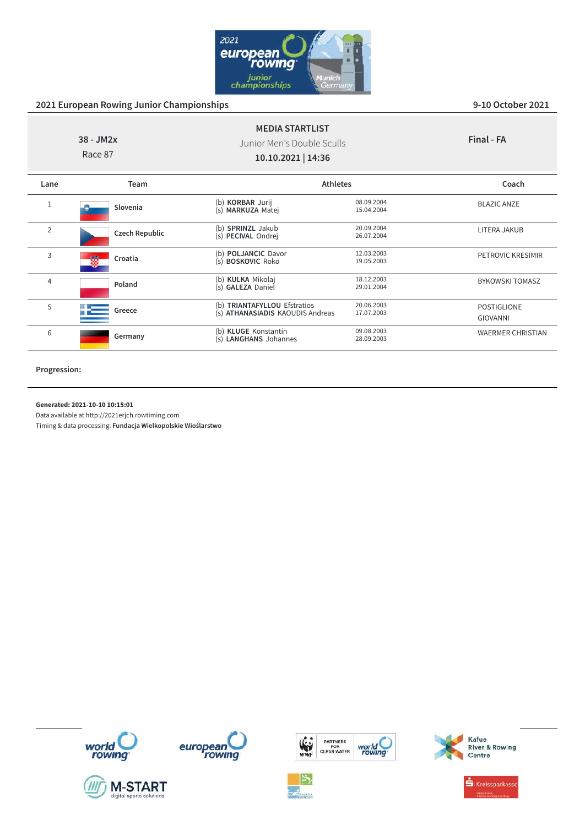

| $38 - JM2x$<br>Race 87 |                       | <b>MEDIA STARTLIST</b><br>Junior Men's Double Sculls<br>10.10.2021   14:36 |                          | Final - FA                            |
|------------------------|-----------------------|----------------------------------------------------------------------------|--------------------------|---------------------------------------|
| Lane                   | Team                  | <b>Athletes</b>                                                            |                          | Coach                                 |
| 1                      | Slovenia              | (b) KORBAR Jurij<br>(s) MARKUZA Matej                                      | 08.09.2004<br>15.04.2004 | <b>BLAZIC ANZE</b>                    |
| 2                      | <b>Czech Republic</b> | (b) SPRINZL Jakub<br>(s) PECIVAL Ondrej                                    | 20.09.2004<br>26.07.2004 | LITERA JAKUB                          |
| 3                      | Croatia               | (b) POLJANCIC Davor<br>(s) BOSKOVIC Roko                                   | 12.03.2003<br>19.05.2003 | <b>PETROVIC KRESIMIR</b>              |
| $\overline{4}$         | Poland                | (b) KULKA Mikolaj<br>(s) GALEZA Daniel                                     | 18.12.2003<br>29.01.2004 | <b>BYKOWSKI TOMASZ</b>                |
| 5                      | Greece                | (b) TRIANTAFYLLOU Efstratios<br>(s) ATHANASIADIS KAOUDIS Andreas           | 20.06.2003<br>17.07.2003 | <b>POSTIGLIONE</b><br><b>GIOVANNI</b> |
| 6                      | Germany               | (b) KLUGE Konstantin<br>(s) LANGHANS Johannes                              | 09.08.2003<br>28.09.2003 | <b>WAERMER CHRISTIAN</b>              |
|                        |                       |                                                                            |                          |                                       |

**Progression:**

#### **Generated: 2021-10-10 10:15:01**

Data available at http://2021erjch.rowtiming.com

Timing & data processing: **Fundacja Wielkopolskie Wioślarstwo**













world<br>rowing



 $\stackrel{\bullet}{\bullet}$  Kreissparkasse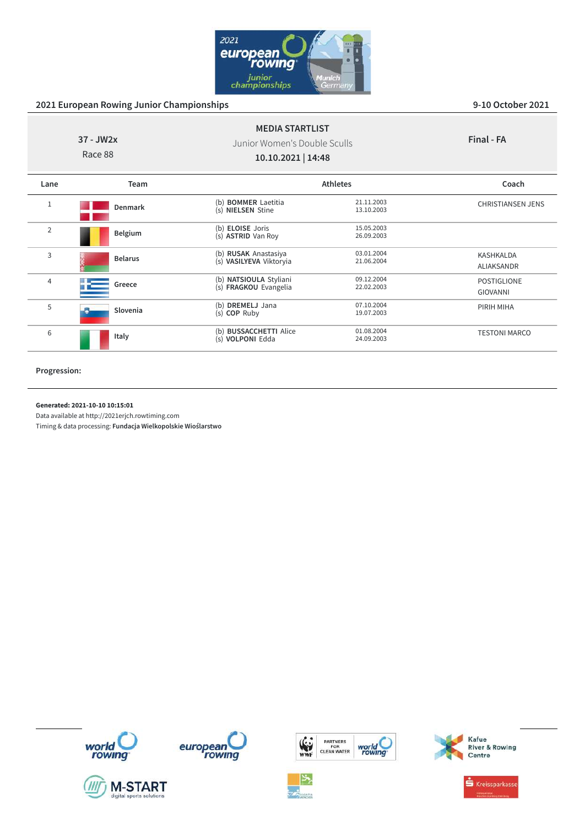

|                | 37 - JW2x<br>Race 88 | <b>MEDIA STARTLIST</b><br>Junior Women's Double Sculls<br>10.10.2021   14:48 |                          | Final - FA                            |
|----------------|----------------------|------------------------------------------------------------------------------|--------------------------|---------------------------------------|
| Lane           | <b>Team</b>          |                                                                              | <b>Athletes</b>          | Coach                                 |
| 1              | Denmark              | (b) <b>BOMMER</b> Laetitia<br>(s) NIELSEN Stine                              | 21.11.2003<br>13.10.2003 | <b>CHRISTIANSEN JENS</b>              |
| $\overline{2}$ | Belgium              | (b) <b>ELOISE</b> Joris<br>(s) ASTRID Van Roy                                | 15.05.2003<br>26.09.2003 |                                       |
| 3              | <b>Belarus</b>       | (b) RUSAK Anastasiya<br>(s) VASILYEVA Viktoryia                              | 03.01.2004<br>21.06.2004 | <b>KASHKALDA</b><br>ALIAKSANDR        |
| $\overline{4}$ | Greece               | (b) NATSIOULA Styliani<br>(s) FRAGKOU Evangelia                              | 09.12.2004<br>22.02.2003 | <b>POSTIGLIONE</b><br><b>GIOVANNI</b> |
| 5              | Slovenia             | (b) DREMELJ Jana<br>(s) COP Ruby                                             | 07.10.2004<br>19.07.2003 | PIRIH MIHA                            |
| 6              | Italy                | (b) BUSSACCHETTI Alice<br>(s) VOLPONI Edda                                   | 01.08.2004<br>24.09.2003 | <b>TESTONI MARCO</b>                  |

**Progression:**

#### **Generated: 2021-10-10 10:15:01**

Data available at http://2021erjch.rowtiming.com